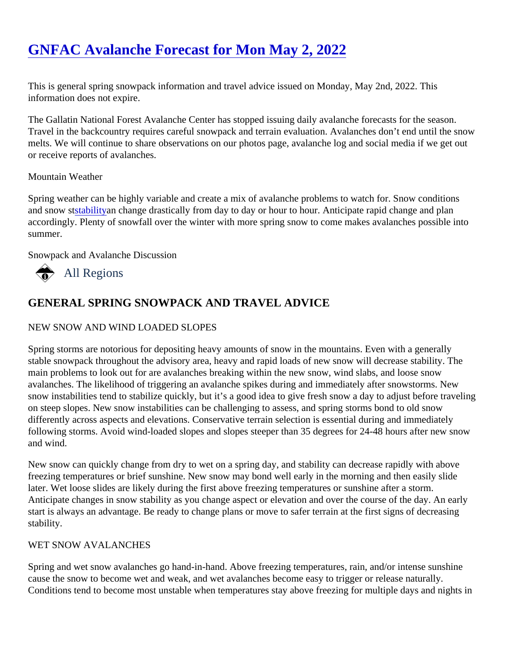# [GNFAC Avalanche Forecast for Mon May 2, 202](https://mtavalanche.com/forecast/22/05/02)2

This is general spring snowpack information and travel advice issued on Monday, May 2nd, 2022. This information does not expire.

The Gallatin National Forest Avalanche Center has stopped issuing daily avalanche forecasts for the season. Travel in the backcountry requires careful snowpack and terrain evaluation. Avalanches don't end until the sn melts. We will continue to share observations on our photos page, avalanche log and social media if we get out or receive reports of avalanches.

#### Mountain Weather

Spring weather can be highly variable and create a mix of avalanche problems to watch for. Snow conditions and snow stabilityan change drastically from day to day or hour to hour. Anticipate rapid change and plan accordingly. Plenty of snowfall over the winter with more spring snow to come makes avalanches possible int summer.

Snowpack and Avalanche Discussion

# All Regions

# GENERAL SPRING SNOWPACK AND TRAVEL ADVICE

## NEW SNOW AND WIND LOADED SLOPES

Spring storms are notorious for depositing heavy amounts of snow in the mountains. Even with a generally stable snowpack throughout the advisory area, heavy and rapid loads of new snow will decrease stability. The main problems to look out for are avalanches breaking within the new snow, wind slabs, and loose snow avalanches. The likelihood of triggering an avalanche spikes during and immediately after snowstorms. New snow instabilities tend to stabilize quickly, but it's a good idea to give fresh snow a day to adjust before traveli on steep slopes. New snow instabilities can be challenging to assess, and spring storms bond to old snow differently across aspects and elevations. Conservative terrain selection is essential during and immediately following storms. Avoid wind-loaded slopes and slopes steeper than 35 degrees for 24-48 hours after new sn and wind.

New snow can quickly change from dry to wet on a spring day, and stability can decrease rapidly with above freezing temperatures or brief sunshine. New snow may bond well early in the morning and then easily slide later. Wet loose slides are likely during the first above freezing temperatures or sunshine after a storm. Anticipate changes in snow stability as you change aspect or elevation and over the course of the day. An ea start is always an advantage. Be ready to change plans or move to safer terrain at the first signs of decreasin stability.

#### WET SNOW AVALANCHES

Spring and wet snow avalanches go hand-in-hand. Above freezing temperatures, rain, and/or intense sunshir cause the snow to become wet and weak, and wet avalanches become easy to trigger or release naturally. Conditions tend to become most unstable when temperatures stay above freezing for multiple days and night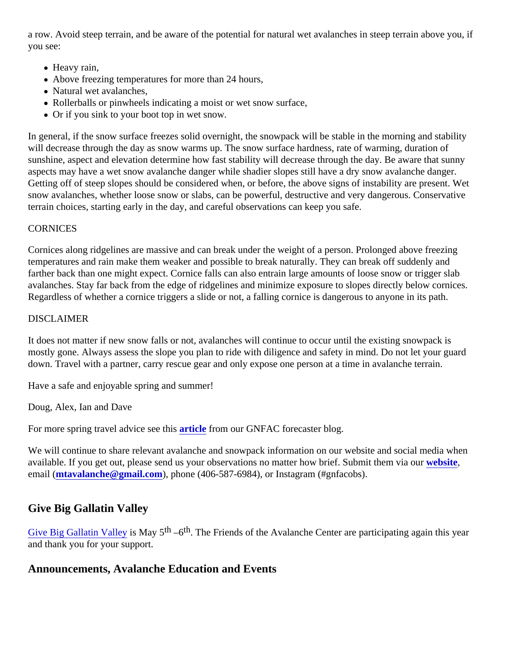a row. Avoid steep terrain, and be aware of the potential for natural wet avalanches in steep terrain above yo you see:

- Heavy rain,
- Above freezing temperatures for more than 24 hours,
- Natural wet avalanches,
- Rollerballs or pinwheels indicating a moist or wet snow surface,
- Or if you sink to your boot top in wet snow.

In general, if the snow surface freezes solid overnight, the snowpack will be stable in the morning and stability will decrease through the day as snow warms up. The snow surface hardness, rate of warming, duration of sunshine, aspect and elevation determine how fast stability will decrease through the day. Be aware that suni aspects may have a wet snow avalanche danger while shadier slopes still have a dry snow avalanche dange Getting off of steep slopes should be considered when, or before, the above signs of instability are present. V snow avalanches, whether loose snow or slabs, can be powerful, destructive and very dangerous. Conservat terrain choices, starting early in the day, and careful observations can keep you safe.

### **CORNICES**

Cornices along ridgelines are massive and can break under the weight of a person. Prolonged above freezing temperatures and rain make them weaker and possible to break naturally. They can break off suddenly and farther back than one might expect. Cornice falls can also entrain large amounts of loose snow or trigger slab avalanches. Stay far back from the edge of ridgelines and minimize exposure to slopes directly below cornice Regardless of whether a cornice triggers a slide or not, a falling cornice is dangerous to anyone in its path.

#### DISCLAIMER

It does not matter if new snow falls or not, avalanches will continue to occur until the existing snowpack is mostly gone. Always assess the slope you plan to ride with diligence and safety in mind. Do not let your guard down. Travel with a partner, carry rescue gear and only expose one person at a time in avalanche terrain.

Have a safe and enjoyable spring and summer!

Doug, Alex, Ian and Dave

For more spring travel advice see this cle from our GNFAC forecaster blog.

We will continue to share relevant avalanche and snowpack information on our website and social media when available. If you get out, please send us your observations no matter how brief. Submit therwelreign email [\(mtavalanche@gmail.com](mailto:mtavalanche@gmail.com)), phone (406-587-6984), or Instagram (#gnfacobs).

## Give Big Gallatin Valley

[Give Big Gallatin Valley](https://www.givebiggv.org/organizations/friends-of-gnfac)is May 5<sup>th</sup> –6<sup>th</sup>. The Friends of the Avalanche Center are participating again this year and thank you for your support.

Announcements, Avalanche Education and Events